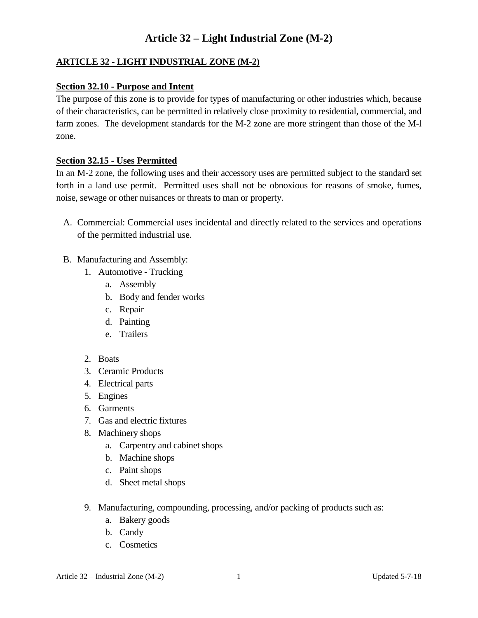#### **ARTICLE 32 - LIGHT INDUSTRIAL ZONE (M-2)**

#### **Section 32.10 - Purpose and Intent**

The purpose of this zone is to provide for types of manufacturing or other industries which, because of their characteristics, can be permitted in relatively close proximity to residential, commercial, and farm zones. The development standards for the M-2 zone are more stringent than those of the M-l zone.

#### **Section 32.15 - Uses Permitted**

In an M-2 zone, the following uses and their accessory uses are permitted subject to the standard set forth in a land use permit. Permitted uses shall not be obnoxious for reasons of smoke, fumes, noise, sewage or other nuisances or threats to man or property.

- A. Commercial: Commercial uses incidental and directly related to the services and operations of the permitted industrial use.
- B. Manufacturing and Assembly:
	- 1. Automotive Trucking
		- a. Assembly
		- b. Body and fender works
		- c. Repair
		- d. Painting
		- e. Trailers
	- 2. Boats
	- 3. Ceramic Products
	- 4. Electrical parts
	- 5. Engines
	- 6. Garments
	- 7. Gas and electric fixtures
	- 8. Machinery shops
		- a. Carpentry and cabinet shops
		- b. Machine shops
		- c. Paint shops
		- d. Sheet metal shops
	- 9. Manufacturing, compounding, processing, and/or packing of products such as:
		- a. Bakery goods
		- b. Candy
		- c. Cosmetics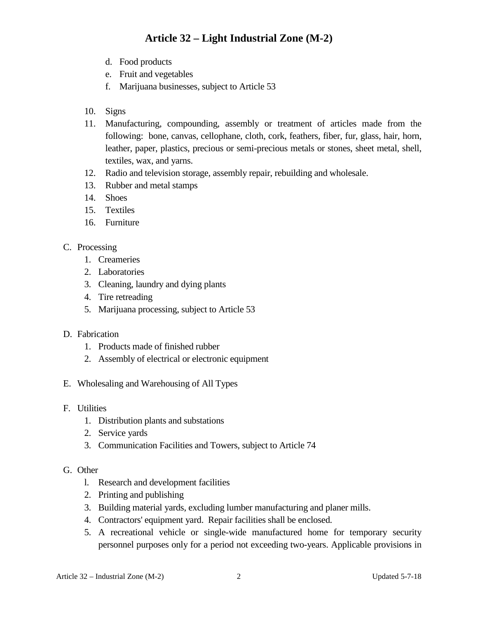- d. Food products
- e. Fruit and vegetables
- f. Marijuana businesses, subject to Article 53
- 10. Signs
- 11. Manufacturing, compounding, assembly or treatment of articles made from the following: bone, canvas, cellophane, cloth, cork, feathers, fiber, fur, glass, hair, horn, leather, paper, plastics, precious or semi-precious metals or stones, sheet metal, shell, textiles, wax, and yarns.
- 12. Radio and television storage, assembly repair, rebuilding and wholesale.
- 13. Rubber and metal stamps
- 14. Shoes
- 15. Textiles
- 16. Furniture
- C. Processing
	- 1. Creameries
	- 2. Laboratories
	- 3. Cleaning, laundry and dying plants
	- 4. Tire retreading
	- 5. Marijuana processing, subject to Article 53
- D. Fabrication
	- 1. Products made of finished rubber
	- 2. Assembly of electrical or electronic equipment
- E. Wholesaling and Warehousing of All Types
- F. Utilities
	- 1. Distribution plants and substations
	- 2. Service yards
	- 3. Communication Facilities and Towers, subject to Article 74

#### G. Other

- l. Research and development facilities
- 2. Printing and publishing
- 3. Building material yards, excluding lumber manufacturing and planer mills.
- 4. Contractors' equipment yard. Repair facilities shall be enclosed.
- 5. A recreational vehicle or single-wide manufactured home for temporary security personnel purposes only for a period not exceeding two-years. Applicable provisions in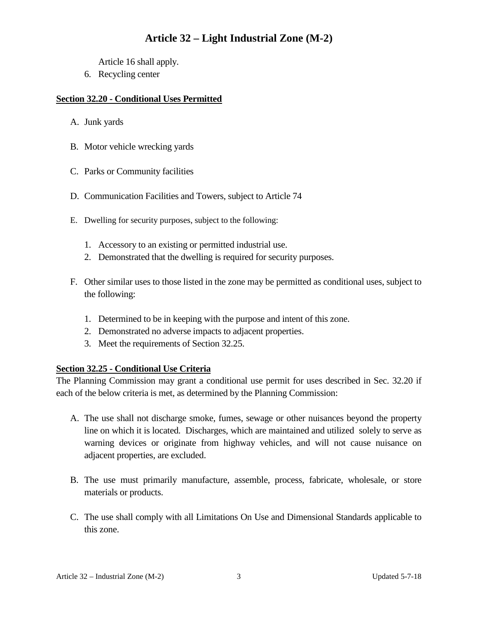Article 16 shall apply.

6. Recycling center

#### **Section 32.20 - Conditional Uses Permitted**

- A. Junk yards
- B. Motor vehicle wrecking yards
- C. Parks or Community facilities
- D. Communication Facilities and Towers, subject to Article 74
- E. Dwelling for security purposes, subject to the following:
	- 1. Accessory to an existing or permitted industrial use.
	- 2. Demonstrated that the dwelling is required for security purposes.
- F. Other similar uses to those listed in the zone may be permitted as conditional uses, subject to the following:
	- 1. Determined to be in keeping with the purpose and intent of this zone.
	- 2. Demonstrated no adverse impacts to adjacent properties.
	- 3. Meet the requirements of Section 32.25.

#### **Section 32.25 - Conditional Use Criteria**

The Planning Commission may grant a conditional use permit for uses described in Sec. 32.20 if each of the below criteria is met, as determined by the Planning Commission:

- A. The use shall not discharge smoke, fumes, sewage or other nuisances beyond the property line on which it is located. Discharges, which are maintained and utilized solely to serve as warning devices or originate from highway vehicles, and will not cause nuisance on adjacent properties, are excluded.
- B. The use must primarily manufacture, assemble, process, fabricate, wholesale, or store materials or products.
- C. The use shall comply with all Limitations On Use and Dimensional Standards applicable to this zone.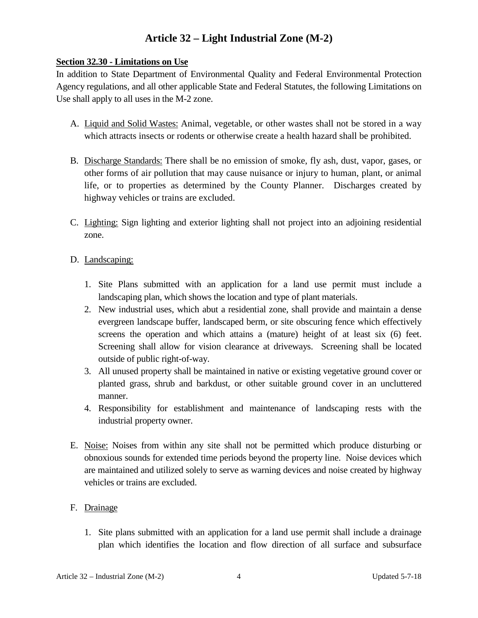#### **Section 32.30 - Limitations on Use**

In addition to State Department of Environmental Quality and Federal Environmental Protection Agency regulations, and all other applicable State and Federal Statutes, the following Limitations on Use shall apply to all uses in the M-2 zone.

- A. Liquid and Solid Wastes: Animal, vegetable, or other wastes shall not be stored in a way which attracts insects or rodents or otherwise create a health hazard shall be prohibited.
- B. Discharge Standards: There shall be no emission of smoke, fly ash, dust, vapor, gases, or other forms of air pollution that may cause nuisance or injury to human, plant, or animal life, or to properties as determined by the County Planner. Discharges created by highway vehicles or trains are excluded.
- C. Lighting: Sign lighting and exterior lighting shall not project into an adjoining residential zone.

#### D. Landscaping:

- 1. Site Plans submitted with an application for a land use permit must include a landscaping plan, which shows the location and type of plant materials.
- 2. New industrial uses, which abut a residential zone, shall provide and maintain a dense evergreen landscape buffer, landscaped berm, or site obscuring fence which effectively screens the operation and which attains a (mature) height of at least six (6) feet. Screening shall allow for vision clearance at driveways. Screening shall be located outside of public right-of-way.
- 3. All unused property shall be maintained in native or existing vegetative ground cover or planted grass, shrub and barkdust, or other suitable ground cover in an uncluttered manner.
- 4. Responsibility for establishment and maintenance of landscaping rests with the industrial property owner.
- E. Noise: Noises from within any site shall not be permitted which produce disturbing or obnoxious sounds for extended time periods beyond the property line. Noise devices which are maintained and utilized solely to serve as warning devices and noise created by highway vehicles or trains are excluded.

### F. Drainage

1. Site plans submitted with an application for a land use permit shall include a drainage plan which identifies the location and flow direction of all surface and subsurface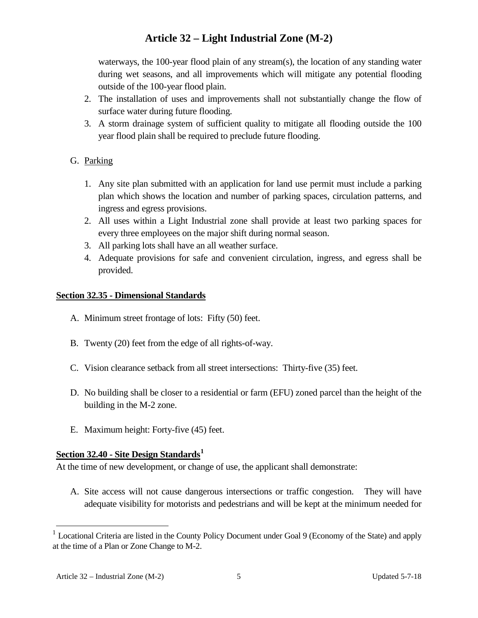waterways, the 100-year flood plain of any stream(s), the location of any standing water during wet seasons, and all improvements which will mitigate any potential flooding outside of the 100-year flood plain.

- 2. The installation of uses and improvements shall not substantially change the flow of surface water during future flooding.
- 3. A storm drainage system of sufficient quality to mitigate all flooding outside the 100 year flood plain shall be required to preclude future flooding.

### G. Parking

- 1. Any site plan submitted with an application for land use permit must include a parking plan which shows the location and number of parking spaces, circulation patterns, and ingress and egress provisions.
- 2. All uses within a Light Industrial zone shall provide at least two parking spaces for every three employees on the major shift during normal season.
- 3. All parking lots shall have an all weather surface.
- 4. Adequate provisions for safe and convenient circulation, ingress, and egress shall be provided.

#### **Section 32.35 - Dimensional Standards**

- A. Minimum street frontage of lots: Fifty (50) feet.
- B. Twenty (20) feet from the edge of all rights-of-way.
- C. Vision clearance setback from all street intersections: Thirty-five (35) feet.
- D. No building shall be closer to a residential or farm (EFU) zoned parcel than the height of the building in the M-2 zone.
- E. Maximum height: Forty-five (45) feet.

#### **Section 32.40 - Site Design Standards[1](#page-4-0)**

At the time of new development, or change of use, the applicant shall demonstrate:

A. Site access will not cause dangerous intersections or traffic congestion. They will have adequate visibility for motorists and pedestrians and will be kept at the minimum needed for

<span id="page-4-0"></span><sup>&</sup>lt;sup>1</sup> Locational Criteria are listed in the County Policy Document under Goal 9 (Economy of the State) and apply at the time of a Plan or Zone Change to M-2.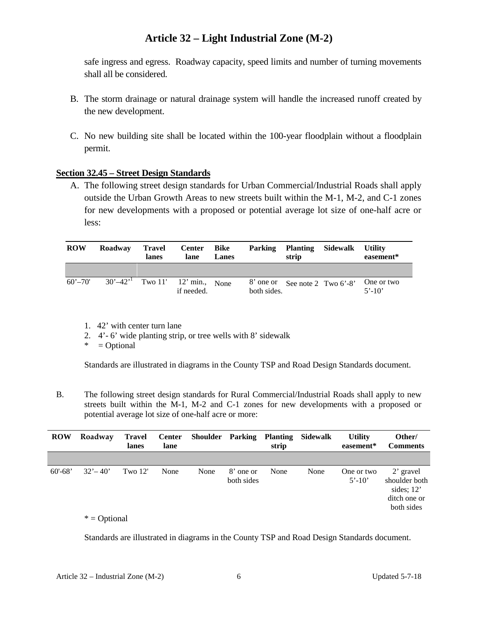safe ingress and egress. Roadway capacity, speed limits and number of turning movements shall all be considered.

- B. The storm drainage or natural drainage system will handle the increased runoff created by the new development.
- C. No new building site shall be located within the 100-year floodplain without a floodplain permit.

#### **Section 32.45 – Street Design Standards**

A. The following street design standards for Urban Commercial/Industrial Roads shall apply outside the Urban Growth Areas to new streets built within the M-1, M-2, and C-1 zones for new developments with a proposed or potential average lot size of one-half acre or less:

| <b>ROW</b>  | Roadway                                          | Travel<br>lanes | Center Bike<br>lane | Lanes |             | Parking Planting Sidewalk<br>strip |                                | <b>Utility</b><br>easement* |
|-------------|--------------------------------------------------|-----------------|---------------------|-------|-------------|------------------------------------|--------------------------------|-----------------------------|
|             |                                                  |                 |                     |       |             |                                    |                                |                             |
| $60' - 70'$ | $30^{\circ} - 42^{\circ}$ Two 11' 12' min., None |                 | if needed.          |       | both sides. |                                    | 8' one or See note 2 Two 6'-8' | One or two<br>$5' - 10'$    |

- 1. 42' with center turn lane
- 2. 4'- 6' wide planting strip, or tree wells with 8' sidewalk
- $* = Optional$

Standards are illustrated in diagrams in the County TSP and Road Design Standards document.

B. The following street design standards for Rural Commercial/Industrial Roads shall apply to new streets built within the M-1, M-2 and C-1 zones for new developments with a proposed or potential average lot size of one-half acre or more:

| <b>ROW</b>  | Roadway     | <b>Travel</b><br>lanes | <b>Center</b><br>lane | <b>Shoulder</b> Parking |                         | <b>Planting</b><br>strip | Sidewalk | <b>Utility</b><br>easement* | Other/<br><b>Comments</b>                                                |
|-------------|-------------|------------------------|-----------------------|-------------------------|-------------------------|--------------------------|----------|-----------------------------|--------------------------------------------------------------------------|
|             |             |                        |                       |                         |                         |                          |          |                             |                                                                          |
| $60' - 68'$ | $32' - 40'$ | Two $12'$              | None                  | None                    | 8' one or<br>both sides | None                     | None     | One or two<br>$5' - 10'$    | 2' gravel<br>shoulder both<br>sides; $12'$<br>ditch one or<br>both sides |

 $*$  = Optional

Standards are illustrated in diagrams in the County TSP and Road Design Standards document.